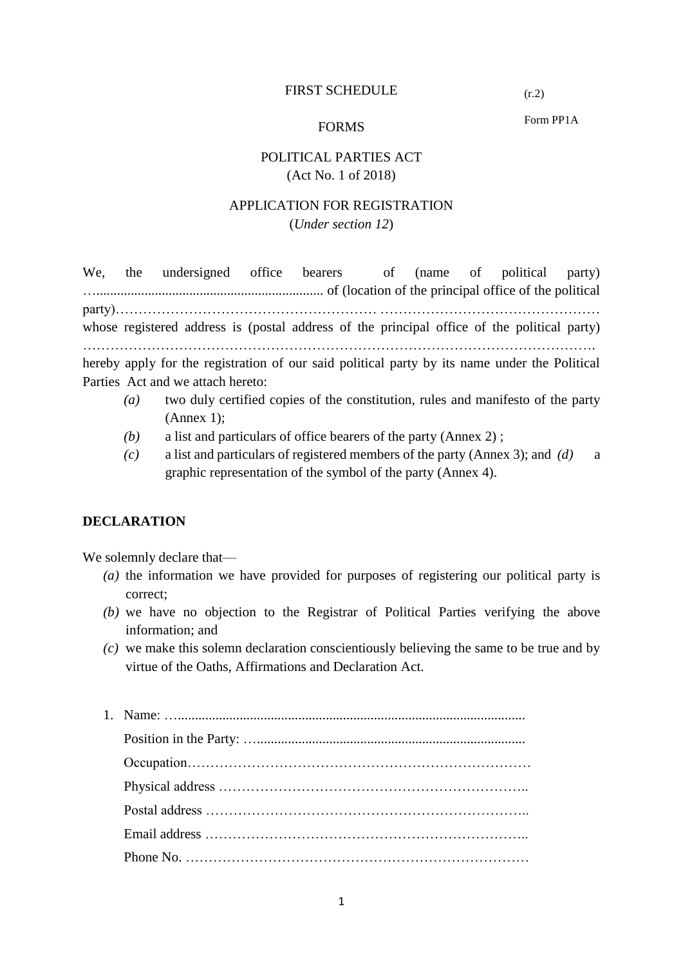#### FIRST SCHEDULE

 $(r.2)$ 

#### FORMS

Form PP1A

## POLITICAL PARTIES ACT (Act No. 1 of 2018)

### APPLICATION FOR REGISTRATION (*Under section 12*)

We, the undersigned office bearers of (name of political party) ….................................................................. of (location of the principal office of the political party)………………………………………………… ………………………………………… whose registered address is (postal address of the principal office of the political party) …………………………………………………………………………………………………. hereby apply for the registration of our said political party by its name under the Political Parties Act and we attach hereto:

- *(a)* two duly certified copies of the constitution, rules and manifesto of the party (Annex 1);
- *(b)* a list and particulars of office bearers of the party (Annex 2) ;
- *(c)* a list and particulars of registered members of the party (Annex 3); and *(d)* a graphic representation of the symbol of the party (Annex 4).

#### **DECLARATION**

We solemnly declare that—

- *(a)* the information we have provided for purposes of registering our political party is correct;
- *(b)* we have no objection to the Registrar of Political Parties verifying the above information; and
- *(c)* we make this solemn declaration conscientiously believing the same to be true and by virtue of the Oaths, Affirmations and Declaration Act.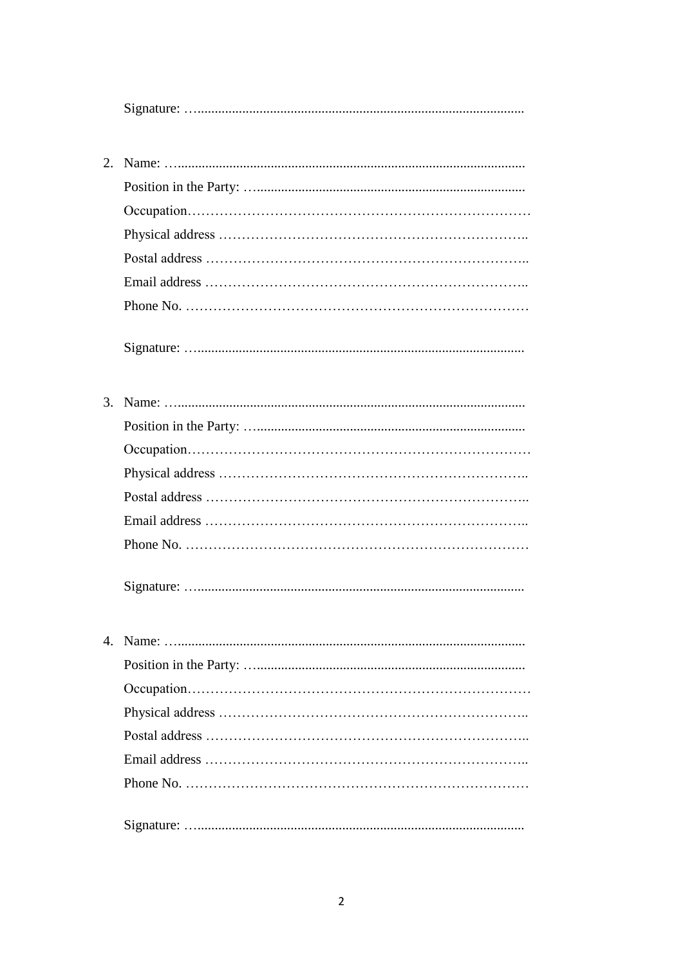|--|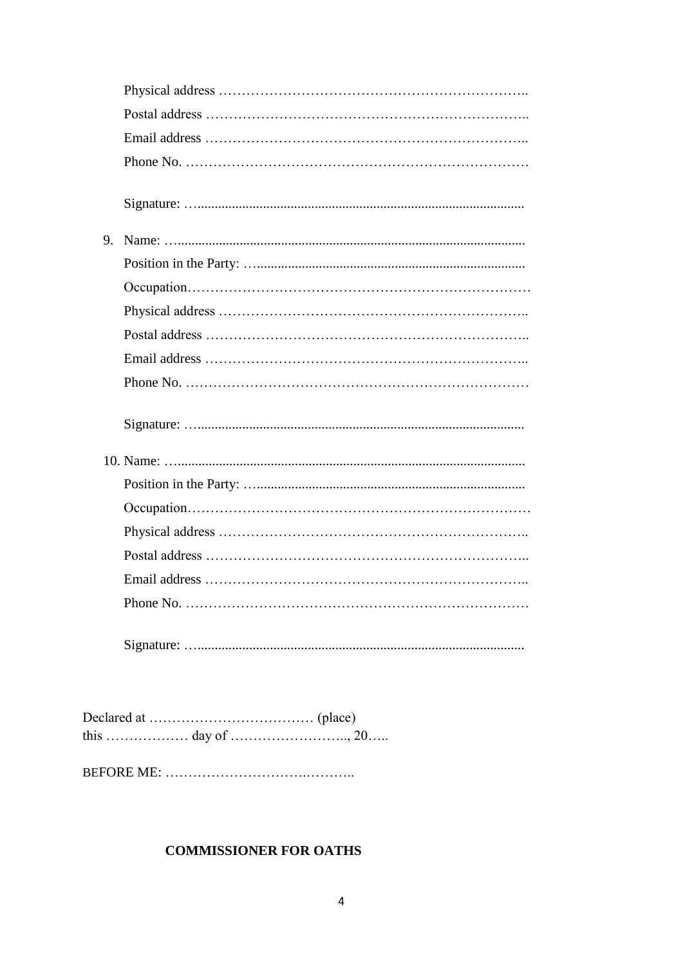| 9. |  |
|----|--|
|    |  |
|    |  |
|    |  |
|    |  |
|    |  |
|    |  |
|    |  |
|    |  |
|    |  |
|    |  |
|    |  |
|    |  |
|    |  |
|    |  |
|    |  |

# **COMMISSIONER FOR OATHS**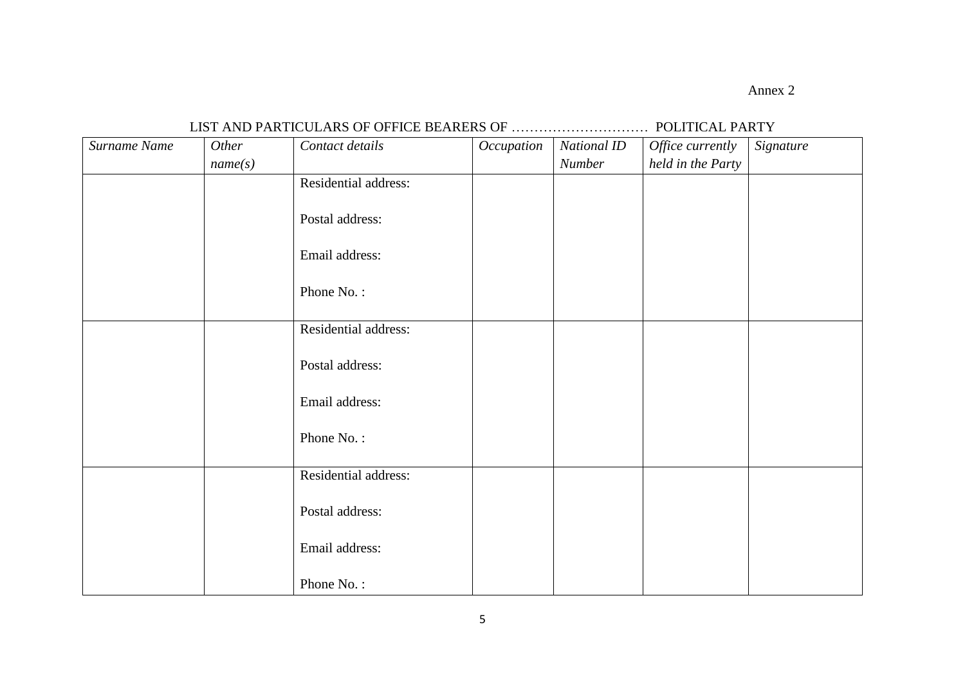Annex 2

## LIST AND PARTICULARS OF OFFICE BEARERS OF ………………………… POLITICAL PARTY

| Surname Name | Other   | Contact details      | Occupation | National ID   | Office currently  | Signature |
|--------------|---------|----------------------|------------|---------------|-------------------|-----------|
|              | name(s) |                      |            | <b>Number</b> | held in the Party |           |
|              |         | Residential address: |            |               |                   |           |
|              |         | Postal address:      |            |               |                   |           |
|              |         | Email address:       |            |               |                   |           |
|              |         | Phone No.:           |            |               |                   |           |
|              |         | Residential address: |            |               |                   |           |
|              |         | Postal address:      |            |               |                   |           |
|              |         | Email address:       |            |               |                   |           |
|              |         | Phone No.:           |            |               |                   |           |
|              |         | Residential address: |            |               |                   |           |
|              |         | Postal address:      |            |               |                   |           |
|              |         | Email address:       |            |               |                   |           |
|              |         | Phone No.:           |            |               |                   |           |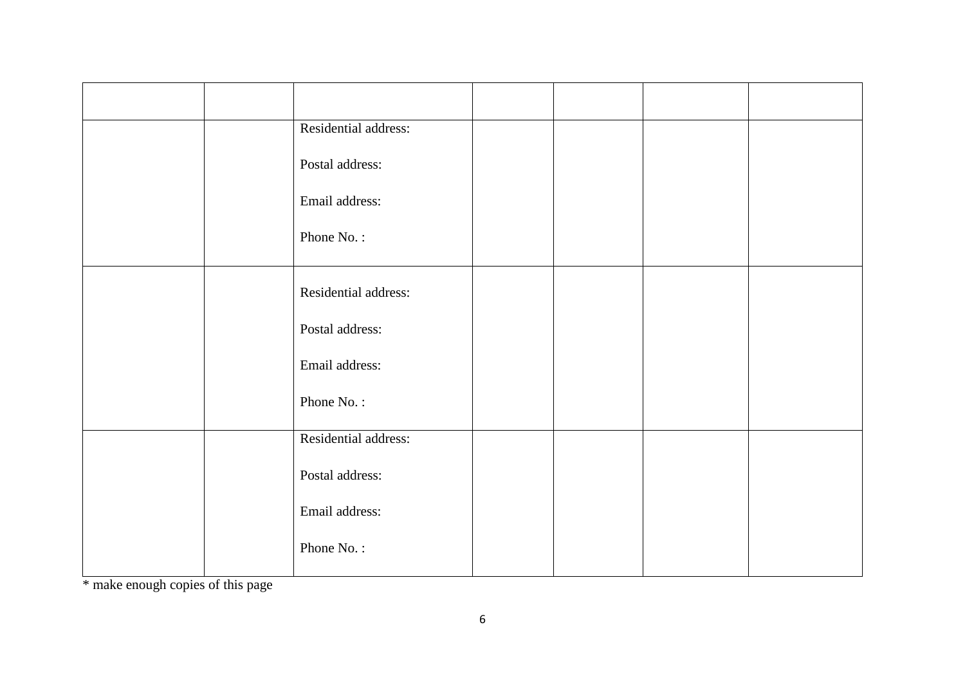|  | Residential address: |  |  |
|--|----------------------|--|--|
|  | Postal address:      |  |  |
|  | Email address:       |  |  |
|  | Phone No.:           |  |  |
|  | Residential address: |  |  |
|  | Postal address:      |  |  |
|  | Email address:       |  |  |
|  | Phone No.:           |  |  |
|  | Residential address: |  |  |
|  | Postal address:      |  |  |
|  | Email address:       |  |  |
|  | Phone No.:           |  |  |

\* make enough copies of this page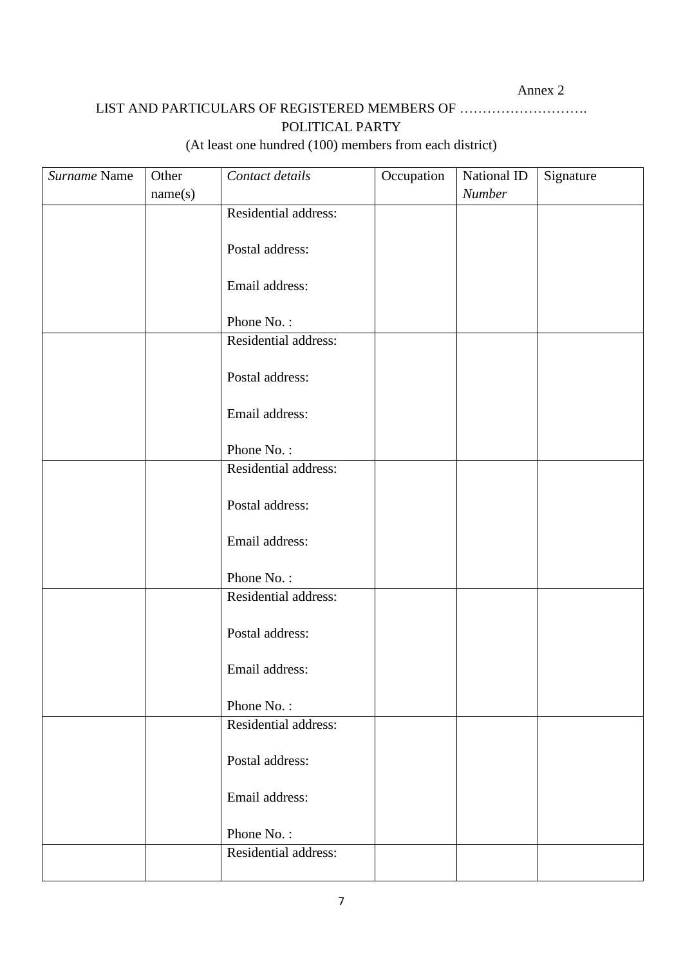# LIST AND PARTICULARS OF REGISTERED MEMBERS OF ………………………. POLITICAL PARTY

# (At least one hundred (100) members from each district)

| Surname Name | Other   | Contact details      | Occupation | National ID | Signature |
|--------------|---------|----------------------|------------|-------------|-----------|
|              | name(s) |                      |            | Number      |           |
|              |         | Residential address: |            |             |           |
|              |         |                      |            |             |           |
|              |         | Postal address:      |            |             |           |
|              |         |                      |            |             |           |
|              |         | Email address:       |            |             |           |
|              |         | Phone No.:           |            |             |           |
|              |         | Residential address: |            |             |           |
|              |         |                      |            |             |           |
|              |         | Postal address:      |            |             |           |
|              |         |                      |            |             |           |
|              |         | Email address:       |            |             |           |
|              |         |                      |            |             |           |
|              |         | Phone No.:           |            |             |           |
|              |         | Residential address: |            |             |           |
|              |         | Postal address:      |            |             |           |
|              |         |                      |            |             |           |
|              |         | Email address:       |            |             |           |
|              |         |                      |            |             |           |
|              |         | Phone No.:           |            |             |           |
|              |         | Residential address: |            |             |           |
|              |         |                      |            |             |           |
|              |         | Postal address:      |            |             |           |
|              |         | Email address:       |            |             |           |
|              |         |                      |            |             |           |
|              |         | Phone No.:           |            |             |           |
|              |         | Residential address: |            |             |           |
|              |         |                      |            |             |           |
|              |         | Postal address:      |            |             |           |
|              |         |                      |            |             |           |
|              |         | Email address:       |            |             |           |
|              |         |                      |            |             |           |
|              |         | Phone No.:           |            |             |           |
|              |         | Residential address: |            |             |           |
|              |         |                      |            |             |           |